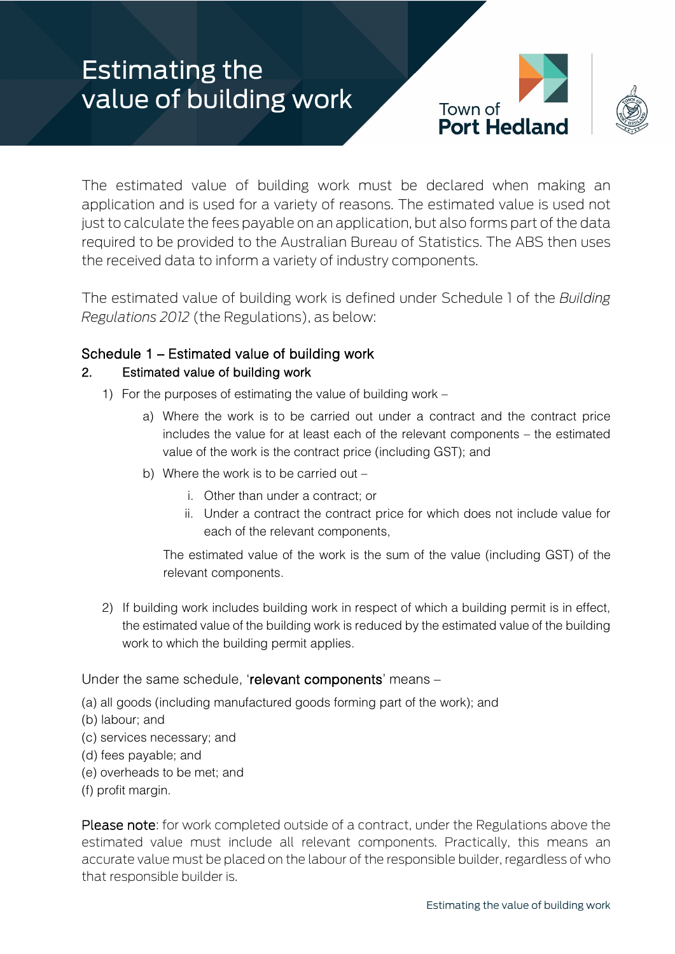# Estimating the value of building work



The estimated value of building work must be declared when making an application and is used for a variety of reasons. The estimated value is used not just to calculate the fees payable on an application, but also forms part of the data required to be provided to the Australian Bureau of Statistics. The ABS then uses the received data to inform a variety of industry components.

The estimated value of building work is defined under Schedule 1 of the *Building Regulations 2012* (the Regulations), as below:

## Schedule 1 – Estimated value of building work

## 2. Estimated value of building work

- 1) For the purposes of estimating the value of building work
	- a) Where the work is to be carried out under a contract and the contract price includes the value for at least each of the relevant components – the estimated value of the work is the contract price (including GST); and
	- b) Where the work is to be carried out
		- i. Other than under a contract; or
		- ii. Under a contract the contract price for which does not include value for each of the relevant components,

The estimated value of the work is the sum of the value (including GST) of the relevant components.

2) If building work includes building work in respect of which a building permit is in effect, the estimated value of the building work is reduced by the estimated value of the building work to which the building permit applies.

#### Under the same schedule, 'relevant components' means –

- (a) all goods (including manufactured goods forming part of the work); and
- (b) labour; and
- (c) services necessary; and
- (d) fees payable; and
- (e) overheads to be met; and
- (f) profit margin.

Please note: for work completed outside of a contract, under the Regulations above the estimated value must include all relevant components. Practically, this means an accurate value must be placed on the labour of the responsible builder, regardless of who that responsible builder is.